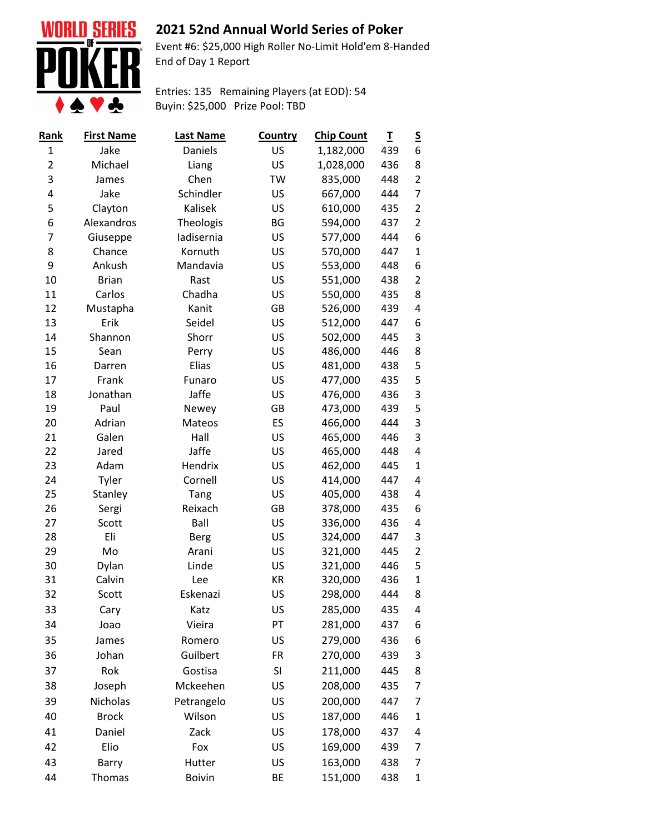

## **2021 52nd Annual World Series of Poker**

Event #6: \$25,000 High Roller No-Limit Hold'em 8-Handed End of Day 1 Report

Entries: 135 Remaining Players (at EOD): 54 Buyin: \$25,000 Prize Pool: TBD

| <u>Rank</u>  | <b>First Name</b> | <b>Last Name</b> | <b>Country</b> | <b>Chip Count</b> | I   | <u>s</u>       |
|--------------|-------------------|------------------|----------------|-------------------|-----|----------------|
| $\mathbf{1}$ | Jake              | Daniels          | US             | 1,182,000         | 439 | 6              |
| 2            | Michael           | Liang            | US             | 1,028,000         | 436 | 8              |
| 3            | James             | Chen             | <b>TW</b>      | 835,000           | 448 | $\overline{2}$ |
| 4            | Jake              | Schindler        | US             | 667,000           | 444 | 7              |
| 5            | Clayton           | Kalisek          | US             | 610,000           | 435 | 2              |
| 6            | Alexandros        | Theologis        | BG             | 594,000           | 437 | $\overline{2}$ |
| 7            | Giuseppe          | ladisernia       | US             | 577,000           | 444 | 6              |
| 8            | Chance            | Kornuth          | US             | 570,000           | 447 | 1              |
| 9            | Ankush            | Mandavia         | US             | 553,000           | 448 | 6              |
| 10           | <b>Brian</b>      | Rast             | US             | 551,000           | 438 | $\overline{2}$ |
| 11           | Carlos            | Chadha           | US             | 550,000           | 435 | 8              |
| 12           | Mustapha          | Kanit            | GB             | 526,000           | 439 | 4              |
| 13           | Erik              | Seidel           | US             | 512,000           | 447 | 6              |
| 14           | Shannon           | Shorr            | US             | 502,000           | 445 | 3              |
| 15           | Sean              | Perry            | US             | 486,000           | 446 | 8              |
| 16           | Darren            | Elias            | US             | 481,000           | 438 | 5              |
| 17           | Frank             | Funaro           | US             | 477,000           | 435 | 5              |
| 18           | Jonathan          | Jaffe            | US             | 476,000           | 436 | 3              |
| 19           | Paul              | Newey            | GB             | 473,000           | 439 | 5              |
| 20           | Adrian            | Mateos           | ES             | 466,000           | 444 | 3              |
| 21           | Galen             | Hall             | US             | 465,000           | 446 | 3              |
| 22           | Jared             | Jaffe            | US             | 465,000           | 448 | 4              |
| 23           | Adam              | Hendrix          | US             | 462,000           | 445 | 1              |
| 24           | Tyler             | Cornell          | US             | 414,000           | 447 | 4              |
| 25           | Stanley           | Tang             | US             | 405,000           | 438 | 4              |
| 26           | Sergi             | Reixach          | GB             | 378,000           | 435 | 6              |
| 27           | Scott             | Ball             | US             | 336,000           | 436 | 4              |
| 28           | Eli               | <b>Berg</b>      | US             | 324,000           | 447 | 3              |
| 29           | Mo                | Arani            | US             | 321,000           | 445 | $\overline{2}$ |
| 30           | Dylan             | Linde            | US             | 321,000           | 446 | 5              |
| 31           | Calvin            | Lee              | KR             | 320,000           | 436 | 1              |
| 32           | Scott             | Eskenazi         | US             | 298,000           | 444 | 8              |
| 33           | Cary              | Katz             | US             | 285,000           | 435 | 4              |
| 34           | Joao              | Vieira           | PT             | 281,000           | 437 | 6              |
| 35           | James             | Romero           | US             | 279,000           | 436 | 6              |
| 36           | Johan             | Guilbert         | FR             | 270,000           | 439 | 3              |
| 37           | Rok               | Gostisa          | SI             | 211,000           | 445 | 8              |
| 38           | Joseph            | Mckeehen         | US             | 208,000           | 435 | 7              |
| 39           | <b>Nicholas</b>   | Petrangelo       | US             | 200,000           | 447 | 7              |
| 40           | <b>Brock</b>      | Wilson           | US             | 187,000           | 446 | 1              |
| 41           | Daniel            | Zack             | US             | 178,000           | 437 | 4              |
| 42           | Elio              | Fox              | US             | 169,000           | 439 | 7              |
| 43           | Barry             | Hutter           | US             | 163,000           | 438 | 7              |
| 44           | Thomas            | <b>Boivin</b>    | BE             | 151,000           | 438 | 1              |
|              |                   |                  |                |                   |     |                |